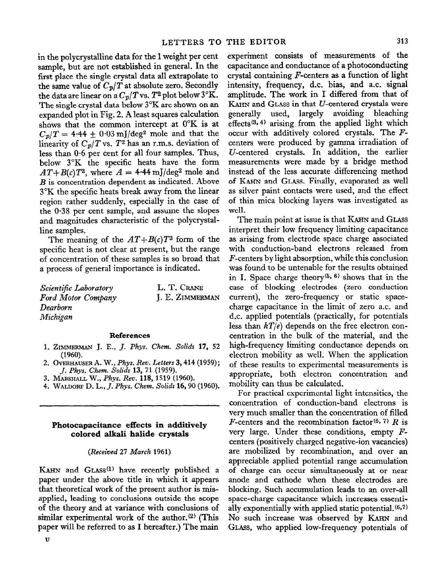**in the polycrystalline data for the 1 weight per cent**  sample, but are not established in general. In the **first place the single crystal data all extrapolate to**  the same value of  $C_p/T$  at absolute zero. Secondly the data are linear on a  $C_p/T$  vs.  $T^2$  plot below  $3^\circ$ K. **The single crystal data below 3°K are shown on an expanded plot in Fig. 2. A least squares calculation shows that the common intercept at 0°K is at**   $C_p/T = 4.44 \pm 0.03$  mJ/deg<sup>2</sup> mole and that the linearity of  $C_p/T$  vs.  $T^2$  has an r.m.s. deviation of **less than O-6 per cent for all four samples. Thus, below 3°K the specific heats have the form**   $AT+B(c)T^3$ , where  $A = 4.44$  mJ/deg<sup>2</sup> mole and *B* is **concentration dependent as indicated. Above 3°K the specific heats break away from the linear region rather suddenly, especially in the case of the 0.38 per cent sample, and assume the slopes and magnitudes characteristic of the polycrystal**line samples.

The meaning of the  $AT + B(c)T^3$  form of the **specific heat is not clear at present, but the range of concentration of these samples is so broad that a process of general importance is indicated.** 

| Scientific Laboratory     | L. T. CRANE            |
|---------------------------|------------------------|
| <b>Ford Motor Company</b> | <b>I. E. ZIMMERMAN</b> |
| Dearborn                  |                        |
| Michigan                  |                        |

### **References**

- 1. **ZIMMERMAN J. E., J. Phys. Chem. Solids 17, 52 (1960).**
- **2. OVERHAUSER A. W.,** *Phys. Rev.* **Letters 3,414 (1959);**  *J. Phys. Chem. Solids* **13, 71 (1959).**
- **3. MARSHALL W.,** *Phys. Rev.* **118,1519 (1960).**
- **4. WALDORF D. L.,** *J. Phys. Clzem. Solids* **16,90 (1960).**

# **Photocapacitance effects in additively colored alkali halide crystals**

### *(Received 27* **March 1961)**

KAHN and GLASS<sup>(1)</sup> have recently published a **paper under the above title in which it appears that theoretical work of the present author is misapplied, leading to conclusions outside the scope of the theory and at variance with conclusions of**  similar experimental work of the author.<sup>(2)</sup> (This **paper will be referred to as I hereafter.) The main** 

**u** 

experiment consists of measurements of the **capacitance and** conductance of a photo~nducting crystal containing  $F$ -centers as a function of light intensity, frequency, d.c. bias, **and a.c. signal amplitude. The work in I differed from that of I&IN and GLASS in that U-centered crystals were generally used, largely avoiding bleaching effects(s\*4) arising from the applied light which occur with additively colored crystals. The** *F*centers were produced by gamma irradiation of U-centered crystals. In addition, the earlier measurements were made by a bridge method instead of the less accurate differencing method **of KAHN** and GLASS. Finally, evaporated as well as silver paint contacts were used, and the effect of thin mica blocking layers was investigated as well.

The main point at issue is that KAHN and GLASS interpret their low frequency limiting capacitance as arising from electrode space charge associated with conduction-band electrons released from F-centers by light absorption, while this conclusion was found to be untenable for the results obtained in I. Space charge theory<sup>(5, 6)</sup> shows that in the case of blocking electrodes (zero conduction current), the zero-frequency or static spacecharge capacitance in the limit of zero a.c. and d.c. applied potentials (practically, for potentials less than  $kT/e$ ) depends on the free electron concentration in the bulk of the material, and the high-frequency limiting conductance depends on electron mobility as well. When the application of these results to experimental measurements is appropriate, both electron concentration and mobility can thus be calculated.

For practical experimental light intensities, the concentration of conduction-band electrons is very much smaller than the concentration of filled  $F$ -centers and the recombination factor<sup>(6, 7)</sup>  $R$  is **very large. Under these conditions, empty** *F*centers (positively charged negative-ion vacancies) are mobilized by recombination, and over an appreciable applied potential range accumulation of charge can occur simultaneously at or near anode and cathode when these electrodes are blocking. Such accumulation leads to an over-all space-charge capacitance which increases essentially exponentially with applied static potential. $(6,7)$ **No** such increase was observed by KAHN and GLASS, who applied low-frequency potentials of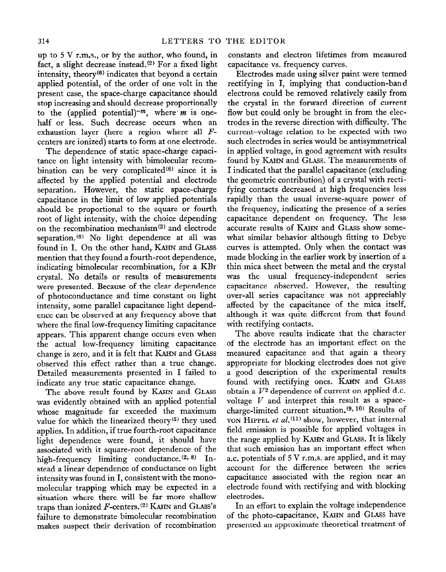up to 5 V r.m.s., or by the author, who found, in fact, a slight decrease instead. $(2)$  For a fixed light intensity, theory $(6)$  indicates that beyond a certain applied potential, of the order of one volt in the present case, the space-charge capacitance should stop increasing and should decrease proportionally to the (applied potential) $^{-m}$ , where *m* is onehalf or less. Such decrease occurs when an exhaustion layer {here a region where all *F*centers are ionized) starts to form at one electrode.

The dependence of static space-charge capacitance on light intensity with bimolecular recombination can be very complicated $(6)$  since it is affected by the applied potential and electrode separation. However, the static space-charge capacitance in the limit of low applied potentiaIs should be proportional to the square or fourth root of light intensity, with the choice depending on the recombination mechanism<sup>(2)</sup> and electrode separation.<sup>(6)</sup> No light dependence at all was found in I. On the other hand, **KAHN** and **GLASS**  mention that they found a fourth-root dependence, indicating bimolecular recombination, for a KBr crystal. No details or results of measurements were presented, Because of the clear dependence of photoconductance and time constant on light intensity, some parallel capacitance light dependence can be observed at any frequency above that where the final low-frequency limiting capacitance appears. This apparent change occurs even when the actual low-frequency limiting capacitance change is zero, and it is felt that KAHN and GLASS observed this effect rather than a true change. Detailed measurements presented in I failed to indicate any true static capacitance change.

The above result found by KAHN and GLASS was evidently obtained with an applied potential whose magnitude far exceeded the maximum value for which the linearized theory<sup> $(5)$ </sup> they used applies. In addition, if true fourth-root capacitance light dependence were found, it should have associated with it square-root dependence of the high-frequency limiting conductance.  $(2, 8)$  Instead a linear dependence of conductance on light intensity was found in I, consistent with the monomolecular trapping which may be expected in a situation where there will be far more shallow traps than ionized  $F$ -centers.<sup>(2)</sup> KAHN and GLASS's failure to demonstrate bimolecular recombination makes suspect their derivation of recombination constants and electron lifetimes from measured capacitance vs. frequency curves.

Electrodes made using silver paint were termed rectifying in I, implying that-conduction-band electrons could be removed relatively easily from the crystal in the forward direction of current flow but could only be brought in from the electrodes in the reverse direction with difficulty. The current-voltage refation to be expected with two such electrodes in series would be antisymmetrical in applied voltage, in good agreement with results found by KAHN and GLASS. The measurements of I indicated that the parallel capacitance (excluding the geometric contribution) of a crystal with rectifying contacts decreased at high frequencies less rapidly than the usual inverse-square power of the frequency, indicating the presence of a series capacitance dependent on frequency. The less accurate results of KAHN and GLASS show somewhat similar behavior although fitting to Debye curves is attempted. Only when the contact was made blocking in the earlier work by insertion of a thin mica sheet between the metal and the crystal was the usual frequency-independent series capacitance observed. However, the resulting over-all series capacitance was not appreciably affected by the capacitance of the mica itself, although it was quite different from that found with rectifying contacts.

The above results indicate that the character of the electrode has an important effect on the measured capacitance and that again a theory appropriate for blocking electrodes does not give a good description of the experimental results found with rectifying ones. **KAHN** and GLASS obtain a  $V^2$  dependence of current on applied d.c. voltage *V* and interpret this result as a spacecharge-limited current situation. $(9, 10)$  Results of von HIPPEL et al.<sup>(11)</sup> show, however, that internal field emission is possible for applied voltages in the range applied by KAHN and GLASS. It is likely that such emission has an important effect when a.c. potentials of 5 V r.m.s. are applied, and it may account for the difference between the series capacitance associated with the region near an electrode found with rectifying and with blocking electrodes.

In an effort to explain the voltage independence of the photo-capacitance, **KAHN** and **GLA.SS** have presented an approximate theoretical treatment of